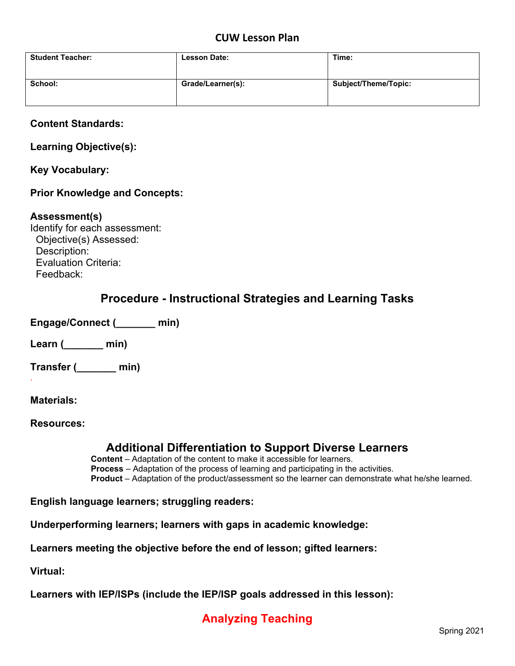## **CUW Lesson Plan**

| <b>Student Teacher:</b> | <b>Lesson Date:</b> | Time:                |
|-------------------------|---------------------|----------------------|
| School:                 | Grade/Learner(s):   | Subject/Theme/Topic: |

### **Content Standards:**

**Learning Objective(s):**

**Key Vocabulary:**

### **Prior Knowledge and Concepts:**

#### **Assessment(s)**

Identify for each assessment: Objective(s) Assessed: Description: Evaluation Criteria: Feedback:

## **Procedure - Instructional Strategies and Learning Tasks**

**Engage/Connect (\_\_\_\_\_\_\_ min)**

**Learn (\_\_\_\_\_\_\_ min)** 

**Transfer (\_\_\_\_\_\_\_ min)**

**Materials:** 

.

**Resources:**

## **Additional Differentiation to Support Diverse Learners**

 **Content** – Adaptation of the content to make it accessible for learners. **Process** – Adaptation of the process of learning and participating in the activities. **Product** – Adaptation of the product/assessment so the learner can demonstrate what he/she learned.

**English language learners; struggling readers:**

**Underperforming learners; learners with gaps in academic knowledge:**

**Learners meeting the objective before the end of lesson; gifted learners:**

**Virtual:**

**Learners with IEP/ISPs (include the IEP/ISP goals addressed in this lesson):**

# **Analyzing Teaching**